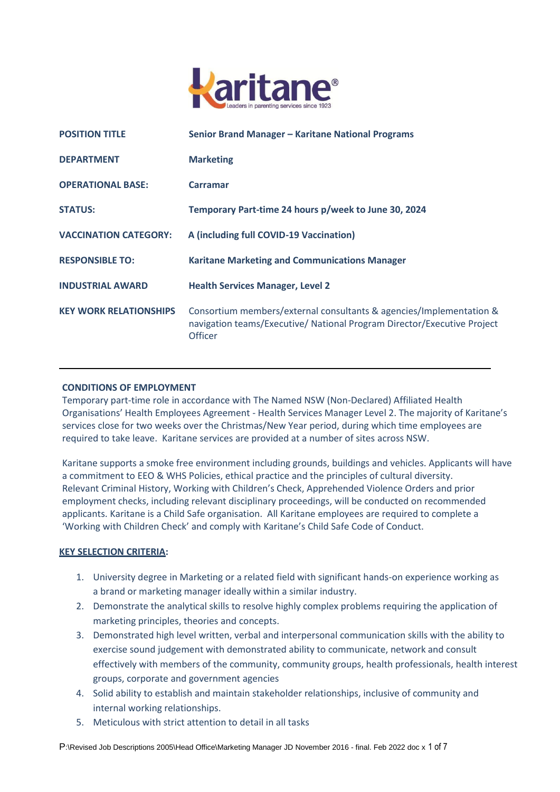

| <b>POSITION TITLE</b>         | Senior Brand Manager - Karitane National Programs                                                                                                         |
|-------------------------------|-----------------------------------------------------------------------------------------------------------------------------------------------------------|
| <b>DEPARTMENT</b>             | <b>Marketing</b>                                                                                                                                          |
| <b>OPERATIONAL BASE:</b>      | <b>Carramar</b>                                                                                                                                           |
| <b>STATUS:</b>                | Temporary Part-time 24 hours p/week to June 30, 2024                                                                                                      |
| <b>VACCINATION CATEGORY:</b>  | A (including full COVID-19 Vaccination)                                                                                                                   |
| <b>RESPONSIBLE TO:</b>        | <b>Karitane Marketing and Communications Manager</b>                                                                                                      |
| <b>INDUSTRIAL AWARD</b>       | <b>Health Services Manager, Level 2</b>                                                                                                                   |
| <b>KEY WORK RELATIONSHIPS</b> | Consortium members/external consultants & agencies/Implementation &<br>navigation teams/Executive/ National Program Director/Executive Project<br>Officer |

## **CONDITIONS OF EMPLOYMENT**

Temporary part-time role in accordance with The Named NSW (Non-Declared) Affiliated Health Organisations' Health Employees Agreement - Health Services Manager Level 2. The majority of Karitane's services close for two weeks over the Christmas/New Year period, during which time employees are required to take leave. Karitane services are provided at a number of sites across NSW.

Karitane supports a smoke free environment including grounds, buildings and vehicles. Applicants will have a commitment to EEO & WHS Policies, ethical practice and the principles of cultural diversity. Relevant Criminal History, Working with Children's Check, Apprehended Violence Orders and prior employment checks, including relevant disciplinary proceedings, will be conducted on recommended applicants. Karitane is a Child Safe organisation. All Karitane employees are required to complete a 'Working with Children Check' and comply with Karitane's Child Safe Code of Conduct.

# **KEY SELECTION CRITERIA:**

- 1. University degree in Marketing or a related field with significant hands-on experience working as a brand or marketing manager ideally within a similar industry.
- 2. Demonstrate the analytical skills to resolve highly complex problems requiring the application of marketing principles, theories and concepts.
- 3. Demonstrated high level written, verbal and interpersonal communication skills with the ability to exercise sound judgement with demonstrated ability to communicate, network and consult effectively with members of the community, community groups, health professionals, health interest groups, corporate and government agencies
- 4. Solid ability to establish and maintain stakeholder relationships, inclusive of community and internal working relationships.
- 5. Meticulous with strict attention to detail in all tasks

P:\Revised Job Descriptions 2005\Head Office\Marketing Manager JD November 2016 - final. Feb 2022 doc x 1 of 7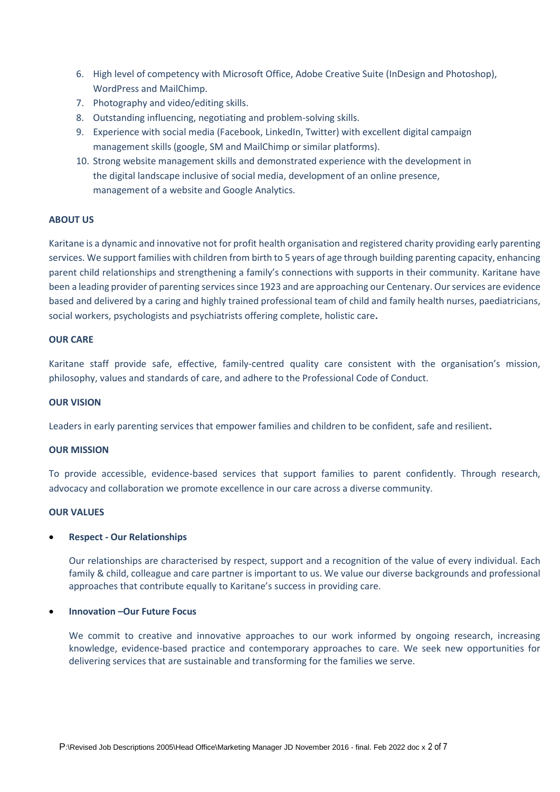- 6. High level of competency with Microsoft Office, Adobe Creative Suite (InDesign and Photoshop), WordPress and MailChimp.
- 7. Photography and video/editing skills.
- 8. Outstanding influencing, negotiating and problem-solving skills.
- 9. Experience with social media (Facebook, LinkedIn, Twitter) with excellent digital campaign management skills (google, SM and MailChimp or similar platforms).
- 10. Strong website management skills and demonstrated experience with the development in the digital landscape inclusive of social media, development of an online presence, management of a website and Google Analytics.

# **ABOUT US**

Karitane is a dynamic and innovative not for profit health organisation and registered charity providing early parenting services. We support families with children from birth to 5 years of age through building parenting capacity, enhancing parent child relationships and strengthening a family's connections with supports in their community. Karitane have been a leading provider of parenting services since 1923 and are approaching our Centenary. Our services are evidence based and delivered by a caring and highly trained professional team of child and family health nurses, paediatricians, social workers, psychologists and psychiatrists offering complete, holistic care**.**

# **OUR CARE**

Karitane staff provide safe, effective, family-centred quality care consistent with the organisation's mission, philosophy, values and standards of care, and adhere to the Professional Code of Conduct.

## **OUR VISION**

Leaders in early parenting services that empower families and children to be confident, safe and resilient**.** 

### **OUR MISSION**

To provide accessible, evidence-based services that support families to parent confidently. Through research, advocacy and collaboration we promote excellence in our care across a diverse community.

### **OUR VALUES**

# **Respect - Our Relationships**

Our relationships are characterised by respect, support and a recognition of the value of every individual. Each family & child, colleague and care partner is important to us. We value our diverse backgrounds and professional approaches that contribute equally to Karitane's success in providing care.

## **Innovation –Our Future Focus**

We commit to creative and innovative approaches to our work informed by ongoing research, increasing knowledge, evidence-based practice and contemporary approaches to care. We seek new opportunities for delivering services that are sustainable and transforming for the families we serve.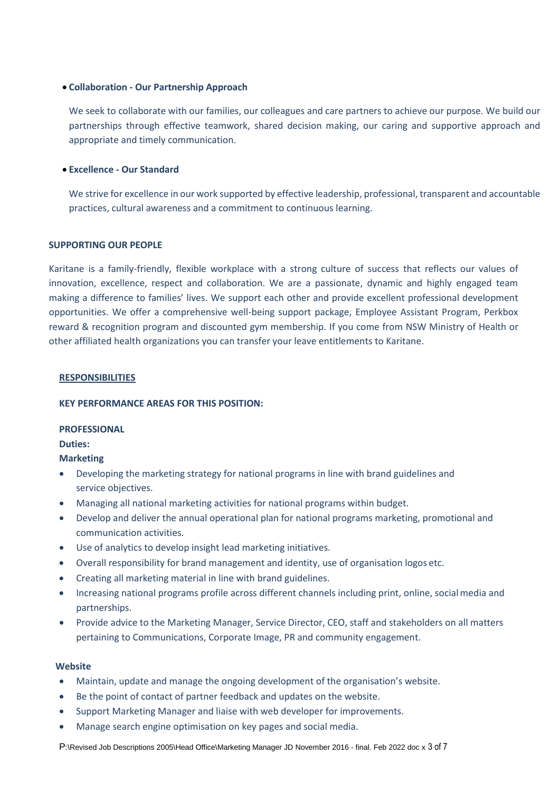## **Collaboration - Our Partnership Approach**

We seek to collaborate with our families, our colleagues and care partners to achieve our purpose. We build our partnerships through effective teamwork, shared decision making, our caring and supportive approach and appropriate and timely communication.

## **Excellence - Our Standard**

We strive for excellence in our work supported by effective leadership, professional, transparent and accountable practices, cultural awareness and a commitment to continuous learning.

## **SUPPORTING OUR PEOPLE**

Karitane is a family-friendly, flexible workplace with a strong culture of success that reflects our values of innovation, excellence, respect and collaboration. We are a passionate, dynamic and highly engaged team making a difference to families' lives. We support each other and provide excellent professional development opportunities. We offer a comprehensive well-being support package, Employee Assistant Program, Perkbox reward & recognition program and discounted gym membership. If you come from NSW Ministry of Health or other affiliated health organizations you can transfer your leave entitlements to Karitane.

### **RESPONSIBILITIES**

### **KEY PERFORMANCE AREAS FOR THIS POSITION:**

### **PROFESSIONAL**

**Duties:**

# **Marketing**

- Developing the marketing strategy for national programs in line with brand guidelines and service objectives.
- Managing all national marketing activities for national programs within budget.
- Develop and deliver the annual operational plan for national programs marketing, promotional and communication activities.
- Use of analytics to develop insight lead marketing initiatives.
- Overall responsibility for brand management and identity, use of organisation logos etc.
- Creating all marketing material in line with brand guidelines.
- Increasing national programs profile across different channels including print, online, socialmedia and partnerships.
- Provide advice to the Marketing Manager, Service Director, CEO, staff and stakeholders on all matters pertaining to Communications, Corporate Image, PR and community engagement.

## **Website**

- Maintain, update and manage the ongoing development of the organisation's website.
- Be the point of contact of partner feedback and updates on the website.
- Support Marketing Manager and liaise with web developer for improvements.
- Manage search engine optimisation on key pages and social media.

P:\Revised Job Descriptions 2005\Head Office\Marketing Manager JD November 2016 - final. Feb 2022 doc x 3 of 7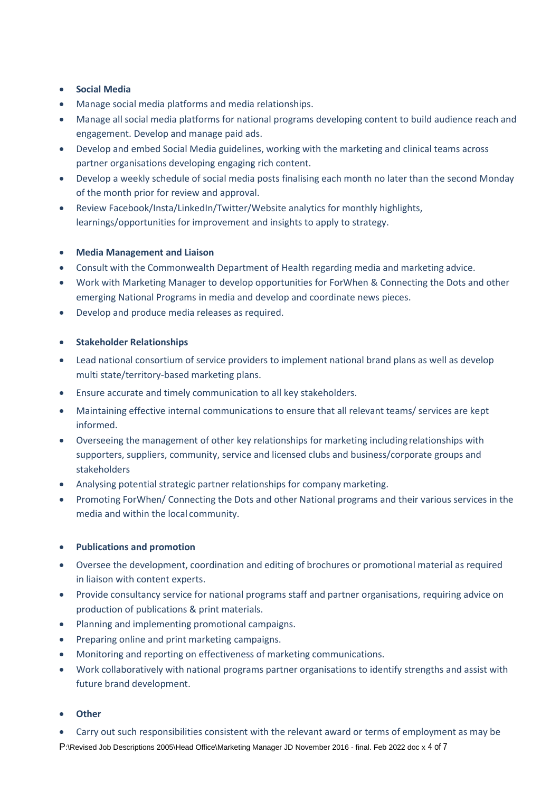# **Social Media**

- Manage social media platforms and media relationships.
- Manage all social media platforms for national programs developing content to build audience reach and engagement. Develop and manage paid ads.
- Develop and embed Social Media guidelines, working with the marketing and clinical teams across partner organisations developing engaging rich content.
- Develop a weekly schedule of social media posts finalising each month no later than the second Monday of the month prior for review and approval.
- Review Facebook/Insta/LinkedIn/Twitter/Website analytics for monthly highlights, learnings/opportunities for improvement and insights to apply to strategy.

# **Media Management and Liaison**

- Consult with the Commonwealth Department of Health regarding media and marketing advice.
- Work with Marketing Manager to develop opportunities for ForWhen & Connecting the Dots and other emerging National Programs in media and develop and coordinate news pieces.
- Develop and produce media releases as required.

# **Stakeholder Relationships**

- Lead national consortium of service providers to implement national brand plans as well as develop multi state/territory-based marketing plans.
- Ensure accurate and timely communication to all key stakeholders.
- Maintaining effective internal communications to ensure that all relevant teams/ services are kept informed.
- Overseeing the management of other key relationships for marketing includingrelationships with supporters, suppliers, community, service and licensed clubs and business/corporate groups and stakeholders
- Analysing potential strategic partner relationships for company marketing.
- Promoting ForWhen/ Connecting the Dots and other National programs and their various services in the media and within the local community.

# **Publications and promotion**

- Oversee the development, coordination and editing of brochures or promotional material as required in liaison with content experts.
- Provide consultancy service for national programs staff and partner organisations, requiring advice on production of publications & print materials.
- Planning and implementing promotional campaigns.
- Preparing online and print marketing campaigns.
- Monitoring and reporting on effectiveness of marketing communications.
- Work collaboratively with national programs partner organisations to identify strengths and assist with future brand development.
- **Other**
- Carry out such responsibilities consistent with the relevant award or terms of employment as may be

P:\Revised Job Descriptions 2005\Head Office\Marketing Manager JD November 2016 - final. Feb 2022 doc x 4 of 7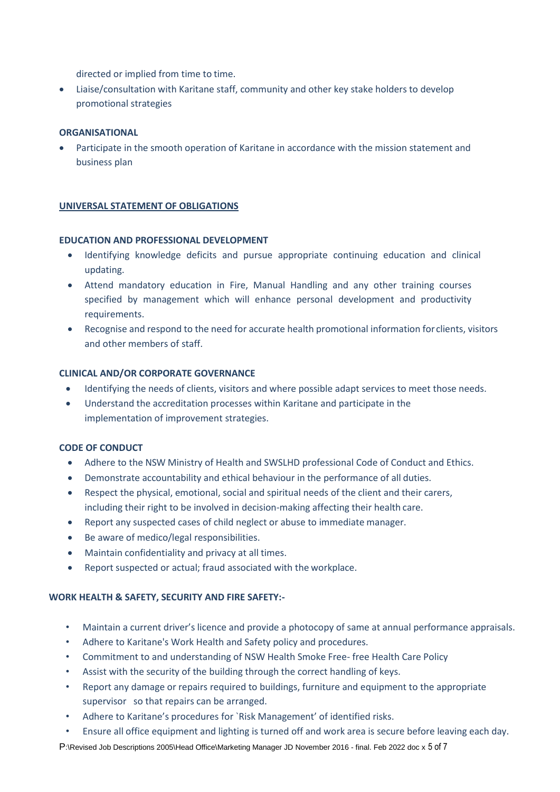directed or implied from time to time.

 Liaise/consultation with Karitane staff, community and other key stake holders to develop promotional strategies

# **ORGANISATIONAL**

 Participate in the smooth operation of Karitane in accordance with the mission statement and business plan

## **UNIVERSAL STATEMENT OF OBLIGATIONS**

### **EDUCATION AND PROFESSIONAL DEVELOPMENT**

- Identifying knowledge deficits and pursue appropriate continuing education and clinical updating.
- Attend mandatory education in Fire, Manual Handling and any other training courses specified by management which will enhance personal development and productivity requirements.
- Recognise and respond to the need for accurate health promotional information for clients, visitors and other members of staff.

## **CLINICAL AND/OR CORPORATE GOVERNANCE**

- Identifying the needs of clients, visitors and where possible adapt services to meet those needs.
- Understand the accreditation processes within Karitane and participate in the implementation of improvement strategies.

### **CODE OF CONDUCT**

- Adhere to the NSW Ministry of Health and SWSLHD professional Code of Conduct and Ethics.
- Demonstrate accountability and ethical behaviour in the performance of all duties.
- Respect the physical, emotional, social and spiritual needs of the client and their carers, including their right to be involved in decision-making affecting their health care.
- Report any suspected cases of child neglect or abuse to immediate manager.
- Be aware of medico/legal responsibilities.
- Maintain confidentiality and privacy at all times.
- Report suspected or actual; fraud associated with the workplace.

# **WORK HEALTH & SAFETY, SECURITY AND FIRE SAFETY:-**

- Maintain a current driver's licence and provide a photocopy of same at annual performance appraisals.
- Adhere to Karitane's Work Health and Safety policy and procedures.
- Commitment to and understanding of NSW Health Smoke Free- free Health Care Policy
- Assist with the security of the building through the correct handling of keys.
- Report any damage or repairs required to buildings, furniture and equipment to the appropriate supervisor so that repairs can be arranged.
- Adhere to Karitane's procedures for `Risk Management' of identified risks.
- Ensure all office equipment and lighting is turned off and work area is secure before leaving each day.

P:\Revised Job Descriptions 2005\Head Office\Marketing Manager JD November 2016 - final. Feb 2022 doc x 5 of 7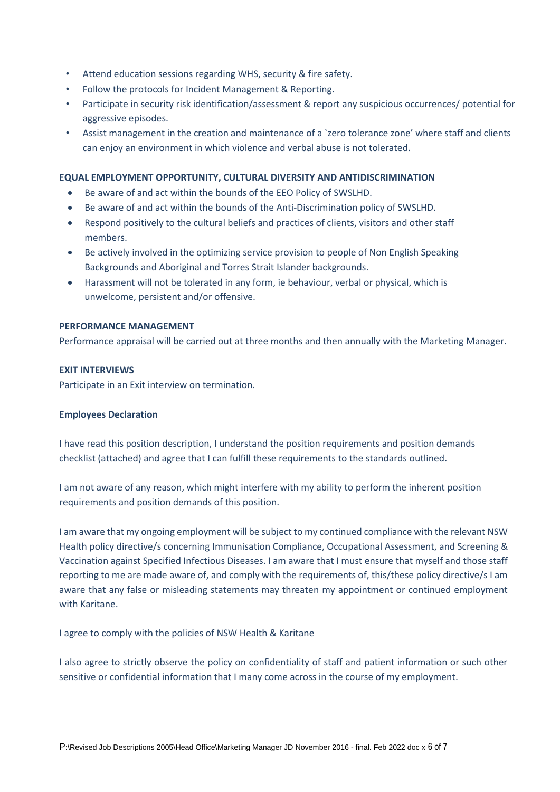- Attend education sessions regarding WHS, security & fire safety.
- Follow the protocols for Incident Management & Reporting.
- Participate in security risk identification/assessment & report any suspicious occurrences/ potential for aggressive episodes.
- Assist management in the creation and maintenance of a `zero tolerance zone' where staff and clients can enjoy an environment in which violence and verbal abuse is not tolerated.

# **EQUAL EMPLOYMENT OPPORTUNITY, CULTURAL DIVERSITY AND ANTIDISCRIMINATION**

- Be aware of and act within the bounds of the EEO Policy of SWSLHD.
- Be aware of and act within the bounds of the Anti-Discrimination policy of SWSLHD.
- Respond positively to the cultural beliefs and practices of clients, visitors and other staff members.
- Be actively involved in the optimizing service provision to people of Non English Speaking Backgrounds and Aboriginal and Torres Strait Islander backgrounds.
- Harassment will not be tolerated in any form, ie behaviour, verbal or physical, which is unwelcome, persistent and/or offensive.

# **PERFORMANCE MANAGEMENT**

Performance appraisal will be carried out at three months and then annually with the Marketing Manager.

# **EXIT INTERVIEWS**

Participate in an Exit interview on termination.

# **Employees Declaration**

I have read this position description, I understand the position requirements and position demands checklist (attached) and agree that I can fulfill these requirements to the standards outlined.

I am not aware of any reason, which might interfere with my ability to perform the inherent position requirements and position demands of this position.

I am aware that my ongoing employment will be subject to my continued compliance with the relevant NSW Health policy directive/s concerning Immunisation Compliance, Occupational Assessment, and Screening & Vaccination against Specified Infectious Diseases. I am aware that I must ensure that myself and those staff reporting to me are made aware of, and comply with the requirements of, this/these policy directive/s I am aware that any false or misleading statements may threaten my appointment or continued employment with Karitane.

I agree to comply with the policies of NSW Health & Karitane

I also agree to strictly observe the policy on confidentiality of staff and patient information or such other sensitive or confidential information that I many come across in the course of my employment.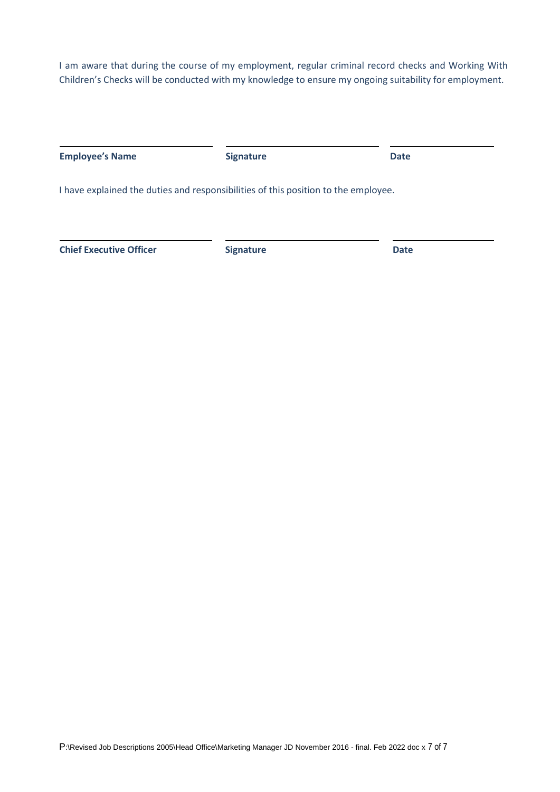I am aware that during the course of my employment, regular criminal record checks and Working With Children's Checks will be conducted with my knowledge to ensure my ongoing suitability for employment.

| <b>Employee's Name</b>                                                             | <b>Signature</b> | <b>Date</b> |  |
|------------------------------------------------------------------------------------|------------------|-------------|--|
| I have explained the duties and responsibilities of this position to the employee. |                  |             |  |
| <b>Chief Executive Officer</b>                                                     | <b>Signature</b> | <b>Date</b> |  |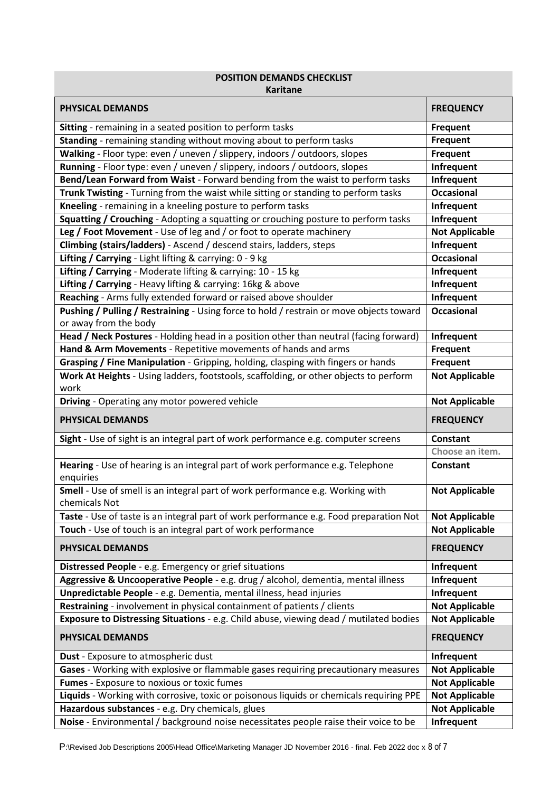| <b>POSITION DEMANDS CHECKLIST</b><br><b>Karitane</b>                                                             |                       |  |  |
|------------------------------------------------------------------------------------------------------------------|-----------------------|--|--|
| <b>PHYSICAL DEMANDS</b>                                                                                          | <b>FREQUENCY</b>      |  |  |
| Sitting - remaining in a seated position to perform tasks                                                        | Frequent              |  |  |
| Standing - remaining standing without moving about to perform tasks                                              | <b>Frequent</b>       |  |  |
| Walking - Floor type: even / uneven / slippery, indoors / outdoors, slopes                                       | Frequent              |  |  |
| Running - Floor type: even / uneven / slippery, indoors / outdoors, slopes                                       | Infrequent            |  |  |
| Bend/Lean Forward from Waist - Forward bending from the waist to perform tasks                                   | Infrequent            |  |  |
| Trunk Twisting - Turning from the waist while sitting or standing to perform tasks                               | <b>Occasional</b>     |  |  |
| Kneeling - remaining in a kneeling posture to perform tasks                                                      | Infrequent            |  |  |
| Squatting / Crouching - Adopting a squatting or crouching posture to perform tasks                               | Infrequent            |  |  |
| Leg / Foot Movement - Use of leg and / or foot to operate machinery                                              | <b>Not Applicable</b> |  |  |
| Climbing (stairs/ladders) - Ascend / descend stairs, ladders, steps                                              | Infrequent            |  |  |
| Lifting / Carrying - Light lifting & carrying: 0 - 9 kg                                                          | <b>Occasional</b>     |  |  |
| Lifting / Carrying - Moderate lifting & carrying: 10 - 15 kg                                                     | Infrequent            |  |  |
| Lifting / Carrying - Heavy lifting & carrying: 16kg & above                                                      | Infrequent            |  |  |
| Reaching - Arms fully extended forward or raised above shoulder                                                  | Infrequent            |  |  |
| Pushing / Pulling / Restraining - Using force to hold / restrain or move objects toward<br>or away from the body | <b>Occasional</b>     |  |  |
| Head / Neck Postures - Holding head in a position other than neutral (facing forward)                            | Infrequent            |  |  |
| Hand & Arm Movements - Repetitive movements of hands and arms                                                    | Frequent              |  |  |
| Grasping / Fine Manipulation - Gripping, holding, clasping with fingers or hands                                 | Frequent              |  |  |
| Work At Heights - Using ladders, footstools, scaffolding, or other objects to perform<br>work                    | <b>Not Applicable</b> |  |  |
| Driving - Operating any motor powered vehicle                                                                    | <b>Not Applicable</b> |  |  |
| <b>PHYSICAL DEMANDS</b>                                                                                          | <b>FREQUENCY</b>      |  |  |
| Sight - Use of sight is an integral part of work performance e.g. computer screens                               | Constant              |  |  |
|                                                                                                                  |                       |  |  |
|                                                                                                                  | Choose an item.       |  |  |
| Hearing - Use of hearing is an integral part of work performance e.g. Telephone<br>enquiries                     | Constant              |  |  |
| Smell - Use of smell is an integral part of work performance e.g. Working with<br>chemicals Not                  | <b>Not Applicable</b> |  |  |
| Taste - Use of taste is an integral part of work performance e.g. Food preparation Not                           | <b>Not Applicable</b> |  |  |
| Touch - Use of touch is an integral part of work performance                                                     | <b>Not Applicable</b> |  |  |
| PHYSICAL DEMANDS                                                                                                 | <b>FREQUENCY</b>      |  |  |
| Distressed People - e.g. Emergency or grief situations                                                           | Infrequent            |  |  |
| Aggressive & Uncooperative People - e.g. drug / alcohol, dementia, mental illness                                | Infrequent            |  |  |
| Unpredictable People - e.g. Dementia, mental illness, head injuries                                              | Infrequent            |  |  |
| Restraining - involvement in physical containment of patients / clients                                          | <b>Not Applicable</b> |  |  |
| Exposure to Distressing Situations - e.g. Child abuse, viewing dead / mutilated bodies                           | <b>Not Applicable</b> |  |  |
| PHYSICAL DEMANDS                                                                                                 | <b>FREQUENCY</b>      |  |  |
| Dust - Exposure to atmospheric dust                                                                              | Infrequent            |  |  |
| Gases - Working with explosive or flammable gases requiring precautionary measures                               | <b>Not Applicable</b> |  |  |
| Fumes - Exposure to noxious or toxic fumes                                                                       | <b>Not Applicable</b> |  |  |
| Liquids - Working with corrosive, toxic or poisonous liquids or chemicals requiring PPE                          | <b>Not Applicable</b> |  |  |
| Hazardous substances - e.g. Dry chemicals, glues                                                                 | <b>Not Applicable</b> |  |  |

P:\Revised Job Descriptions 2005\Head Office\Marketing Manager JD November 2016 - final. Feb 2022 doc x 8 of 7